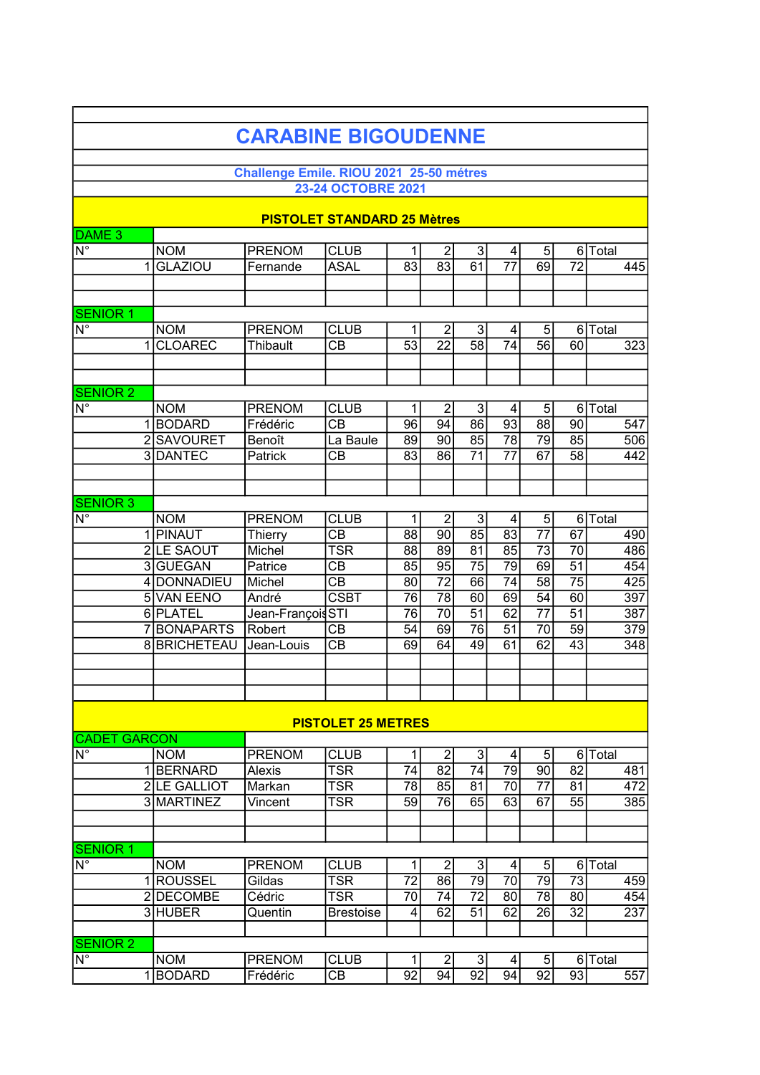|                                                    |                                | <b>CARABINE BIGOUDENNE</b>              |                                |                 |                 |                 |                 |                 |                 |                  |
|----------------------------------------------------|--------------------------------|-----------------------------------------|--------------------------------|-----------------|-----------------|-----------------|-----------------|-----------------|-----------------|------------------|
|                                                    |                                |                                         |                                |                 |                 |                 |                 |                 |                 |                  |
|                                                    |                                | Challenge Emile. RIOU 2021 25-50 métres |                                |                 |                 |                 |                 |                 |                 |                  |
|                                                    |                                |                                         | 23-24 OCTOBRE 2021             |                 |                 |                 |                 |                 |                 |                  |
|                                                    |                                | <b>PISTOLET STANDARD 25 Mètres</b>      |                                |                 |                 |                 |                 |                 |                 |                  |
| DAME <sub>3</sub>                                  |                                |                                         |                                |                 |                 |                 |                 |                 |                 |                  |
| $\overline{\mathsf{N}^{\circ}}$                    | <b>NOM</b>                     | <b>PRENOM</b>                           | <b>CLUB</b>                    | 1               | $\overline{2}$  | 3               | 4               | $\sqrt{5}$      |                 | 6 Total          |
|                                                    | <b>GLAZIOU</b><br>1            | Fernande                                | <b>ASAL</b>                    | $\overline{83}$ | $\overline{83}$ | $\overline{61}$ | $\overline{77}$ | 69              | $\overline{72}$ | 445              |
|                                                    |                                |                                         |                                |                 |                 |                 |                 |                 |                 |                  |
|                                                    |                                |                                         |                                |                 |                 |                 |                 |                 |                 |                  |
| <b>SENIOR 1</b><br>$\overline{\mathsf{N}^{\circ}}$ | <b>NOM</b>                     | <b>PRENOM</b>                           | <b>CLUB</b>                    | 1               | $\overline{2}$  | 3               | 4               | $\sqrt{5}$      |                 | 6 Total          |
|                                                    | <b>CLOAREC</b><br>$\mathbf{1}$ | Thibault                                | CB                             | $\overline{53}$ | $\overline{22}$ | $\overline{58}$ | 74              | 56              | 60              | 323              |
|                                                    |                                |                                         |                                |                 |                 |                 |                 |                 |                 |                  |
|                                                    |                                |                                         |                                |                 |                 |                 |                 |                 |                 |                  |
| <b>SENIOR 2</b>                                    |                                |                                         |                                |                 |                 |                 |                 |                 |                 |                  |
| $\overline{\mathsf{N}^{\circ}}$                    | <b>NOM</b>                     | <b>PRENOM</b>                           | <b>CLUB</b>                    | $\mathbf{1}$    | $\overline{2}$  | 3               | 4               | $\overline{5}$  |                 | 6 Total          |
|                                                    | 1BODARD                        | Frédéric                                | $\overline{CB}$                | 96              | 94              | 86              | $\overline{93}$ | $\overline{88}$ | 90              | 547              |
|                                                    | 2 SAVOURET                     | Benoît                                  | La Baule                       | 89              | 90              | 85              | 78              | 79              | 85              | $\overline{506}$ |
|                                                    | 3DANTEC                        | Patrick                                 | СB                             | 83              | 86              | 71              | 77              | 67              | 58              | 442              |
|                                                    |                                |                                         |                                |                 |                 |                 |                 |                 |                 |                  |
| <b>SENIOR 3</b>                                    |                                |                                         |                                |                 |                 |                 |                 |                 |                 |                  |
| $\overline{\mathsf{N}^{\circ}}$                    | <b>NOM</b>                     | <b>PRENOM</b>                           | <b>CLUB</b>                    | 1               | $\overline{2}$  | 3               | 4               | $\overline{5}$  |                 | $6$ $T$ otal     |
|                                                    | 1 PINAUT                       | Thierry                                 | $\overline{CB}$                | 88              | 90              | $\overline{85}$ | $\overline{83}$ | $\overline{77}$ | $\overline{67}$ | 490              |
|                                                    | 2 LE SAOUT                     | Michel                                  | <b>TSR</b>                     | 88              | 89              | 81              | $\overline{85}$ | $\overline{73}$ | 70              | 486              |
|                                                    | 3 GUEGAN                       | Patrice                                 | CВ                             | 85              | $\overline{95}$ | 75              | 79              | 69              | $\overline{51}$ | 454              |
|                                                    | 4 DONNADIEU                    | Michel                                  | $\overline{CB}$<br><b>CSBT</b> | 80              | $\overline{72}$ | 66              | 74              | 58              | $\overline{75}$ | 425              |
|                                                    | 5 VAN EENO<br>6 PLATEL         | André<br>Jean-François STI              |                                | 76<br>76        | 78<br>70        | 60<br>51        | 69<br>62        | 54<br>77        | 60<br>51        | 397<br>387       |
|                                                    | 7BONAPARTS                     | Robert                                  | $\overline{CB}$                | 54              | 69              | 76              | 51              | 70              | 59              | 379              |
|                                                    | 8 BRICHETEAU                   | Jean-Louis                              | $\overline{CB}$                | 69              | 64              | 49              | 61              | 62              | 43              | $\overline{348}$ |
|                                                    |                                |                                         |                                |                 |                 |                 |                 |                 |                 |                  |
|                                                    |                                |                                         |                                |                 |                 |                 |                 |                 |                 |                  |
|                                                    |                                |                                         |                                |                 |                 |                 |                 |                 |                 |                  |
|                                                    |                                |                                         | <b>PISTOLET 25 METRES</b>      |                 |                 |                 |                 |                 |                 |                  |
| <b>CADET</b>                                       | <b>GARCON</b>                  |                                         |                                |                 |                 |                 |                 |                 |                 |                  |
| $\overline{\mathsf{N}^{\circ}}$                    | <b>NOM</b>                     | <b>PRENOM</b>                           | <b>CLUB</b>                    | 1               | $\overline{2}$  | $\mathfrak{S}$  | 4               | $5\phantom{.0}$ |                 | 6 Total          |
|                                                    | 1BERNARD                       | Alexis                                  | TSR                            | 74              | 82              | 74              | 79              | 90              | 82              | 481              |
|                                                    | 2 LE GALLIOT                   | Markan                                  | <b>TSR</b>                     | 78              | 85              | 81              | 70              | $\overline{77}$ | 81              | 472              |
|                                                    | 3 MARTINEZ                     | Vincent                                 | <b>TSR</b>                     | $\overline{59}$ | $\overline{76}$ | 65              | 63              | 67              | $\overline{55}$ | 385              |
|                                                    |                                |                                         |                                |                 |                 |                 |                 |                 |                 |                  |
| <b>SENIOR 1</b>                                    |                                |                                         |                                |                 |                 |                 |                 |                 |                 |                  |
| $N^{\circ}$                                        | <b>NOM</b>                     | <b>PRENOM</b>                           | <b>CLUB</b>                    | 1               | $\overline{2}$  | 3               | 4               | 5               |                 | 6 Total          |
|                                                    | 1 ROUSSEL                      | Gildas                                  | <b>TSR</b>                     | 72              | 86              | 79              | 70              | 79              | 73              | 459              |
|                                                    | 2DECOMBE                       | Cédric                                  | <b>TSR</b>                     | 70              | 74              | 72              | 80              | 78              | 80              | 454              |
|                                                    | 3 HUBER                        | Quentin                                 | <b>Brestoise</b>               | 4               | 62              | 51              | 62              | 26              | $\overline{32}$ | 237              |
|                                                    |                                |                                         |                                |                 |                 |                 |                 |                 |                 |                  |
| <b>SENIOR 2</b>                                    |                                |                                         |                                |                 |                 |                 |                 |                 |                 |                  |
| $\overline{\mathsf{N}^{\circ}}$                    | <b>NOM</b>                     | <b>PRENOM</b>                           | <b>CLUB</b>                    | 1               | $\overline{2}$  | 3               | 4               | 5               |                 | 6 Total          |
|                                                    | 1BODARD                        | Frédéric                                | CB                             | 92              | 94              | 92              | 94              | 92              | 93              | 557              |

 $\mathbf{r}$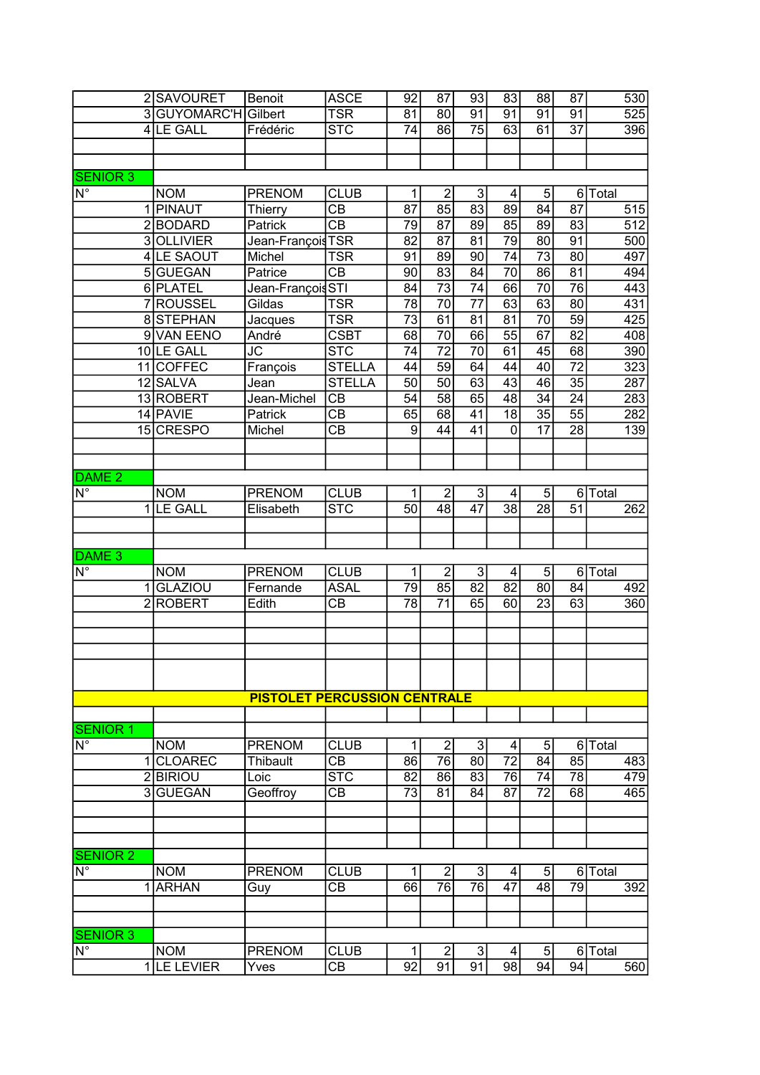|                                 | 2 SAVOURET        | Benoit                              | <b>ASCE</b>             | 92              | 87              | 93              | 83              | 88              | 87              | 530     |
|---------------------------------|-------------------|-------------------------------------|-------------------------|-----------------|-----------------|-----------------|-----------------|-----------------|-----------------|---------|
| 3                               | <b>GUYOMARC'H</b> | Gilbert                             | TSR                     | $\overline{81}$ | 80              | 91              | $\overline{91}$ | $\overline{91}$ | 91              | 525     |
|                                 | 4 LE GALL         | Frédéric                            | $\overline{\text{STC}}$ | $\overline{74}$ | 86              | $\overline{75}$ | $\overline{63}$ | 61              | $\overline{37}$ | 396     |
|                                 |                   |                                     |                         |                 |                 |                 |                 |                 |                 |         |
|                                 |                   |                                     |                         |                 |                 |                 |                 |                 |                 |         |
| <b>SENIOR 3</b>                 |                   |                                     |                         |                 |                 |                 |                 |                 |                 |         |
| $\overline{\mathsf{N}^{\circ}}$ | <b>NOM</b>        | <b>PRENOM</b>                       | <b>CLUB</b>             | 1               | $\overline{2}$  | 3 <sup>1</sup>  | 4               | 5               |                 | 6 Total |
|                                 | 1 PINAUT          | Thierry                             | $\overline{CB}$         | 87              | 85              | 83              | 89              | 84              | $\overline{87}$ | 515     |
|                                 | 2BODARD           | Patrick                             | $\overline{CB}$         | 79              | $\overline{87}$ | 89              | 85              | 89              | 83              | 512     |
|                                 | 3 OLLIVIER        | Jean-François <sub>TSR</sub>        |                         | 82              | $\overline{87}$ | 81              | $\overline{79}$ | 80              | $\overline{91}$ | 500     |
|                                 | 4 LE SAOUT        | Michel                              | <b>TSR</b>              | 91              | 89              | 90              | 74              | $\overline{73}$ | $\overline{80}$ | 497     |
|                                 | 5GUEGAN           | Patrice                             | $\overline{\text{CB}}$  | 90              | 83              | 84              | 70              | 86              | 81              | 494     |
|                                 | 6 PLATEL          | Jean-François STI                   |                         | 84              | $\overline{73}$ | 74              | 66              | $\overline{70}$ | $\overline{76}$ | 443     |
|                                 | 7ROUSSEL          | Gildas                              | <b>TSR</b>              | 78              | $\overline{70}$ | $\overline{77}$ | 63              | 63              | $\overline{80}$ | 431     |
|                                 | 8STEPHAN          | Jacques                             | TSR                     | $\overline{73}$ | 61              | 81              | 81              | 70              | 59              | 425     |
|                                 | 9 VAN EENO        | André                               | <b>CSBT</b>             | 68              | $\overline{70}$ | 66              | $\overline{55}$ | 67              | $\overline{82}$ | 408     |
|                                 | 10 LE GALL        | JC                                  | <b>STC</b>              | $\overline{74}$ | $\overline{72}$ | $\overline{70}$ | 61              | 45              | 68              | 390     |
| 11                              | <b>COFFEC</b>     | François                            | <b>STELLA</b>           | 44              | $\overline{59}$ | 64              | 44              | $\overline{40}$ | $\overline{72}$ | 323     |
|                                 | 12 SALVA          | Jean                                | <b>STELLA</b>           | $\overline{50}$ | 50              | 63              | $\overline{43}$ | 46              | $\overline{35}$ | 287     |
|                                 | 13 ROBERT         | Jean-Michel                         | CB                      | 54              | $\overline{58}$ | 65              | 48              | $\overline{34}$ | $\overline{24}$ | 283     |
|                                 | 14 PAVIE          | Patrick                             | СB                      | 65              | 68              | 41              | $\overline{18}$ | $\overline{35}$ | $\overline{55}$ | 282     |
|                                 | 15 CRESPO         | Michel                              | <b>CB</b>               | 9               | 44              | 41              | $\mathbf{0}$    | 17              | 28              | 139     |
|                                 |                   |                                     |                         |                 |                 |                 |                 |                 |                 |         |
|                                 |                   |                                     |                         |                 |                 |                 |                 |                 |                 |         |
| DAME <sub>2</sub>               |                   |                                     |                         |                 |                 |                 |                 |                 |                 |         |
| $\overline{\mathsf{N}^{\circ}}$ | <b>NOM</b>        | <b>PRENOM</b>                       | <b>CLUB</b>             | 1               | $\overline{2}$  | 3 <sup>1</sup>  | 4               | 5               |                 | 6 Total |
|                                 | 1 LE GALL         | Elisabeth                           | $\overline{\text{STC}}$ | 50              | $\overline{48}$ | $\overline{47}$ | $\overline{38}$ | $\overline{28}$ | $\overline{51}$ | 262     |
|                                 |                   |                                     |                         |                 |                 |                 |                 |                 |                 |         |
|                                 |                   |                                     |                         |                 |                 |                 |                 |                 |                 |         |
| DAME <sub>3</sub>               |                   |                                     |                         |                 |                 |                 |                 |                 |                 |         |
| $\overline{\mathsf{N}^{\circ}}$ | <b>NOM</b>        | PRENOM                              | <b>CLUB</b>             | 1               | $\overline{2}$  | 3               | 4               | 5               |                 | 6 Total |
| 1                               | <b>GLAZIOU</b>    | Fernande                            | <b>ASAL</b>             | $\overline{79}$ | $\overline{85}$ | $\overline{82}$ | $\overline{82}$ | 80              | 84              | 492     |
| $\overline{2}$                  | <b>ROBERT</b>     | Edith                               | СB                      | $\overline{78}$ | $\overline{71}$ | 65              | 60              | $\overline{23}$ | 63              | 360     |
|                                 |                   |                                     |                         |                 |                 |                 |                 |                 |                 |         |
|                                 |                   |                                     |                         |                 |                 |                 |                 |                 |                 |         |
|                                 |                   |                                     |                         |                 |                 |                 |                 |                 |                 |         |
|                                 |                   |                                     |                         |                 |                 |                 |                 |                 |                 |         |
|                                 |                   |                                     |                         |                 |                 |                 |                 |                 |                 |         |
|                                 |                   | <b>PISTOLET PERCUSSION CENTRALE</b> |                         |                 |                 |                 |                 |                 |                 |         |
|                                 |                   |                                     |                         |                 |                 |                 |                 |                 |                 |         |
| <b>SENIOR 1</b>                 |                   |                                     |                         |                 |                 |                 |                 |                 |                 |         |
| $\overline{\mathsf{N}^\circ}$   | <b>NOM</b>        | <b>PRENOM</b>                       | <b>CLUB</b>             | 1               | $\overline{2}$  | 3 <sup>1</sup>  | 4               | 5               |                 | 6 Total |
| 1                               | <b>CLOAREC</b>    | Thibault                            | CB                      | 86              | 76              | 80              | $\overline{72}$ | 84              | 85              | 483     |
|                                 | 2 <b>BIRIOU</b>   | Loic                                | $\overline{\text{STC}}$ | 82              | 86              | 83              | 76              | 74              | 78              | 479     |
|                                 | 3 GUEGAN          | Geoffroy                            | $\overline{CB}$         | 73              | 81              | 84              | 87              | 72              | 68              | 465     |
|                                 |                   |                                     |                         |                 |                 |                 |                 |                 |                 |         |
|                                 |                   |                                     |                         |                 |                 |                 |                 |                 |                 |         |
|                                 |                   |                                     |                         |                 |                 |                 |                 |                 |                 |         |
| <b>SENIOR 2</b>                 |                   |                                     |                         |                 |                 |                 |                 |                 |                 |         |
| $\overline{\mathsf{N}^{\circ}}$ | <b>NOM</b>        | <b>PRENOM</b>                       | <b>CLUB</b>             | 1               | $\overline{2}$  | 3               | 4               | 5               |                 | 6 Total |
| 1                               | <b>ARHAN</b>      | Guy                                 | CВ                      | 66              | $\overline{76}$ | $\overline{76}$ | 47              | $\overline{48}$ | 79              | 392     |
|                                 |                   |                                     |                         |                 |                 |                 |                 |                 |                 |         |
|                                 |                   |                                     |                         |                 |                 |                 |                 |                 |                 |         |
| <b>SENIOR 3</b>                 |                   |                                     |                         |                 |                 |                 |                 |                 |                 |         |
| N°                              | <b>NOM</b>        | <b>PRENOM</b>                       | <b>CLUB</b>             | 1               | $\overline{2}$  | 3 <sup>1</sup>  | 4               | 5               |                 | 6 Total |
|                                 | 1 LE LEVIER       | Yves                                | СB                      | 92              | 91              | 91              | 98              | 94              | 94              | 560     |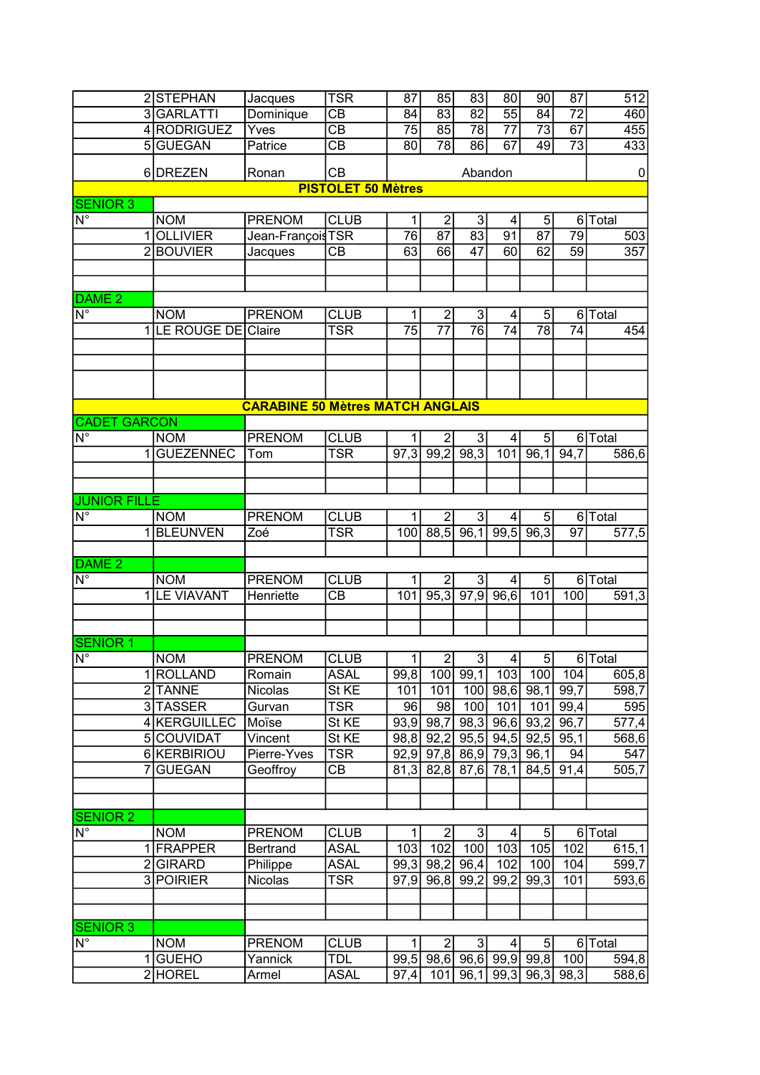|                                 | 2 STEPHAN                                                | Jacques                                 | <b>TSR</b>                | 87                   | 85                                | 83                                                           | 80              | 90                   | 87                    | 512                |
|---------------------------------|----------------------------------------------------------|-----------------------------------------|---------------------------|----------------------|-----------------------------------|--------------------------------------------------------------|-----------------|----------------------|-----------------------|--------------------|
|                                 | 3GARLATTI                                                | Dominique                               | $\overline{CB}$           | 84                   | $\overline{83}$                   | $\overline{82}$                                              | $\overline{55}$ | 84                   | $\overline{72}$       | 460                |
|                                 | 4 RODRIGUEZ                                              | Yves                                    | $\overline{CB}$           | $\overline{75}$      | 85                                | 78                                                           | $\overline{77}$ | $\overline{73}$      | 67                    | 455                |
|                                 | 5 GUEGAN                                                 | Patrice                                 | $\overline{CB}$           | 80                   | $\overline{78}$                   | 86                                                           | 67              | 49                   | $\overline{73}$       | 433                |
|                                 |                                                          |                                         |                           |                      |                                   |                                                              |                 |                      |                       |                    |
|                                 | 6DREZEN                                                  | Ronan                                   | CB                        |                      |                                   | Abandon                                                      |                 |                      |                       | 0                  |
|                                 |                                                          |                                         | <b>PISTOLET 50 Mètres</b> |                      |                                   |                                                              |                 |                      |                       |                    |
| <b>SENIOR 3</b>                 |                                                          |                                         |                           |                      |                                   |                                                              |                 |                      |                       |                    |
| $\overline{\mathsf{N}^{\circ}}$ | <b>NOM</b>                                               | <b>PRENOM</b>                           | <b>CLUB</b>               | 1<br>$\overline{76}$ | $\overline{2}$<br>$\overline{87}$ | $\overline{3}$<br>83                                         | 4               | 5<br>$\overline{87}$ |                       | 6 Total            |
|                                 | <b>OLLIVIER</b><br>1<br><b>BOUVIER</b><br>$\overline{2}$ | Jean-FrançoisTSR                        | $\overline{CB}$           | 63                   | 66                                | $\overline{47}$                                              | 91<br>60        | 62                   | 79<br>$\overline{59}$ | 503<br>357         |
|                                 |                                                          | Jacques                                 |                           |                      |                                   |                                                              |                 |                      |                       |                    |
|                                 |                                                          |                                         |                           |                      |                                   |                                                              |                 |                      |                       |                    |
| $DAME$ <sub>2</sub>             |                                                          |                                         |                           |                      |                                   |                                                              |                 |                      |                       |                    |
| $\overline{\mathsf{N}^\circ}$   | <b>NOM</b>                                               | <b>PRENOM</b>                           | <b>CLUB</b>               | 1                    | $\overline{2}$                    | $\overline{3}$                                               | 4               | 5                    |                       | 6 Total            |
|                                 | LE ROUGE DE Claire<br>1                                  |                                         | <b>TSR</b>                | 75                   | 77                                | 76                                                           | 74              | 78                   | 74                    | 454                |
|                                 |                                                          |                                         |                           |                      |                                   |                                                              |                 |                      |                       |                    |
|                                 |                                                          |                                         |                           |                      |                                   |                                                              |                 |                      |                       |                    |
|                                 |                                                          |                                         |                           |                      |                                   |                                                              |                 |                      |                       |                    |
|                                 |                                                          |                                         |                           |                      |                                   |                                                              |                 |                      |                       |                    |
|                                 |                                                          | <b>CARABINE 50 Mètres MATCH ANGLAIS</b> |                           |                      |                                   |                                                              |                 |                      |                       |                    |
| <b>CADET GARCON</b>             |                                                          |                                         |                           |                      |                                   |                                                              |                 |                      |                       |                    |
| $\overline{\mathsf{N}^\circ}$   | <b>NOM</b>                                               | <b>PRENOM</b>                           | <b>CLUB</b>               | 1                    | $\overline{2}$                    | 3                                                            | $\vert$         | 5 <sup>1</sup>       |                       | 6 Total            |
|                                 | <b>GUEZENNEC</b><br>1                                    | Tom                                     | <b>TSR</b>                | 97,3                 | 99,2                              | 98,3                                                         | 101             | 96,1                 | 94,7                  | 586,6              |
|                                 |                                                          |                                         |                           |                      |                                   |                                                              |                 |                      |                       |                    |
|                                 |                                                          |                                         |                           |                      |                                   |                                                              |                 |                      |                       |                    |
| <b>JUNIOR FILLE</b>             |                                                          |                                         |                           |                      |                                   |                                                              |                 |                      |                       |                    |
| $\overline{\mathsf{N}^{\circ}}$ | <b>NOM</b>                                               | <b>PRENOM</b>                           | <b>CLUB</b>               | 1                    | $\overline{2}$                    | $\mathbf{3}$                                                 | 4               | 5 <sup>1</sup>       |                       | 6 Total            |
|                                 | <b>BLEUNVEN</b><br>$\mathbf{1}$                          | Zoé                                     | <b>TSR</b>                | 100                  | 88,5                              | 96,1                                                         | 99,5            | 96,3                 | $\overline{97}$       | 577,5              |
|                                 |                                                          |                                         |                           |                      |                                   |                                                              |                 |                      |                       |                    |
| DAME <sub>2</sub>               |                                                          |                                         |                           |                      |                                   |                                                              |                 |                      |                       |                    |
| $\overline{\mathsf{N}^{\circ}}$ | <b>NOM</b>                                               | <b>PRENOM</b>                           | <b>CLUB</b>               | 1                    | $\overline{2}$                    | $\mathbf{3}$                                                 | 4               | 5 <sup>1</sup>       |                       | 6 Total            |
|                                 | 1<br><b>LE VIAVANT</b>                                   | Henriette                               | CB                        | 101                  | 95,3                              | $\overline{97,9}$                                            | 96,6            | 101                  | 100                   | 591,3              |
|                                 |                                                          |                                         |                           |                      |                                   |                                                              |                 |                      |                       |                    |
|                                 |                                                          |                                         |                           |                      |                                   |                                                              |                 |                      |                       |                    |
| <b>SENIOR 1</b>                 |                                                          |                                         |                           |                      |                                   |                                                              |                 |                      |                       |                    |
| $\overline{\mathsf{N}^{\circ}}$ | <b>NOM</b>                                               | <b>PRENOM</b>                           | <b>CLUB</b>               | $\mathbf{1}$         | $\overline{2}$                    | $\overline{3}$                                               | $\frac{4}{ }$   | $\overline{5}$       |                       | 6 Total            |
|                                 | 1 ROLLAND                                                | Romain                                  | <b>ASAL</b>               | 99,8                 | 100                               | 99,1                                                         | 103             | 100                  | 104                   | 605,8              |
|                                 | 2 TANNE                                                  | Nicolas                                 | St KE                     | 101                  | 101                               | 100                                                          |                 | $98,6$ 98,1          | 99,7                  | 598,7              |
|                                 | 3 TASSER                                                 | Gurvan                                  | <b>TSR</b>                | 96                   | 98                                | 100                                                          | 101             | 101                  | 99,4                  | 595                |
|                                 | 4 KERGUILLEC                                             | Moïse                                   | St KE                     | 93,9                 | 98,7                              | 98,3                                                         |                 | $96,6$ 93,2          | 96,7                  | 577,4              |
|                                 | 5 COUVIDAT                                               | Vincent                                 | St KE                     | 98,8                 | 92,2                              |                                                              |                 | $95,5$ 94,5 92,5     | 95,1                  | 568,6              |
|                                 | 6 KERBIRIOU                                              | Pierre-Yves                             | $\overline{\text{TSR}}$   | 92,9                 |                                   | $97,8$ $\overline{86,9}$ $\overline{79,3}$ $\overline{96,1}$ |                 |                      | 94                    | 547                |
|                                 | <b>GUEGAN</b><br>$\overline{7}$                          | Geoffroy                                | $\overline{CB}$           | 81,3                 |                                   | 82,8 87,6 78,1 84,5                                          |                 |                      | 91,4                  | $\overline{505,7}$ |
|                                 |                                                          |                                         |                           |                      |                                   |                                                              |                 |                      |                       |                    |
|                                 |                                                          |                                         |                           |                      |                                   |                                                              |                 |                      |                       |                    |
| <b>SENIOR 2</b>                 |                                                          |                                         |                           |                      |                                   |                                                              |                 |                      |                       |                    |
| $\overline{\mathsf{N}^{\circ}}$ | <b>NOM</b>                                               | <b>PRENOM</b>                           | <b>CLUB</b>               |                      | 2                                 | $\mathfrak{B}$                                               | 4               | 5 <sup>1</sup>       |                       | 6 Total            |
|                                 | 1 FRAPPER                                                | <b>Bertrand</b>                         | <b>ASAL</b>               | 103                  | 102                               | 100                                                          | 103             | 105                  | 102                   | 615,1              |
|                                 | 2GIRARD                                                  | Philippe                                | <b>ASAL</b>               | 99,3                 | 98,2                              | 96,4                                                         | 102             | 100                  | 104                   | 599,7              |
|                                 | 3 POIRIER                                                | Nicolas                                 | <b>TSR</b>                | 97,9                 | 96,8                              | 99,2                                                         | 99,2            | 99,3                 | 101                   | 593,6              |
|                                 |                                                          |                                         |                           |                      |                                   |                                                              |                 |                      |                       |                    |
|                                 |                                                          |                                         |                           |                      |                                   |                                                              |                 |                      |                       |                    |
| <b>SENIOR 3</b>                 |                                                          |                                         |                           |                      |                                   |                                                              |                 |                      |                       |                    |
| $N^{\circ}$                     | <b>NOM</b>                                               | <b>PRENOM</b>                           | <b>CLUB</b>               | 1                    | $\mathbf{2}$                      | 3                                                            | 4               | 5 <sub>5</sub>       | $6\vert$              | Total              |
|                                 | GUEHO<br>1 <sup>1</sup>                                  | Yannick                                 | <b>TDL</b>                |                      |                                   | 99,5 98,6 96,6 99,9 99,8                                     |                 |                      | 100                   | 594,8              |
|                                 | 2HOREL                                                   | Armel                                   | <b>ASAL</b>               | 97,4                 | 101                               |                                                              |                 | 96,1 99,3 96,3 98,3  |                       | 588,6              |